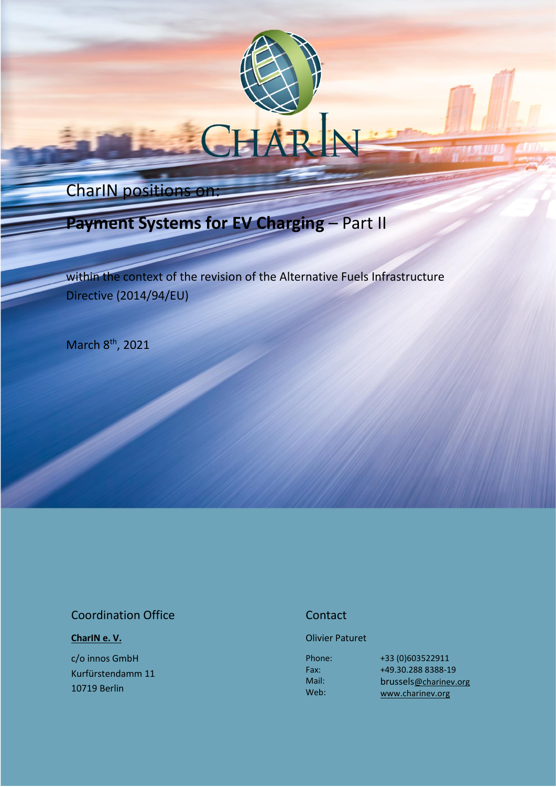# CharIN positions on:

# **Payment Systems for EV Charging** – Part II

within the context of the revision of the Alternative Fuels Infrastructure Directive (2014/94/EU)

March 8<sup>th</sup>, 2021

### Coordination Office

### **[CharIN e. V.](http://charinev.org/news/)**

c/o innos GmbH Kurfürstendamm 11 10719 Berlin

### **Contact**

### Olivier Paturet

Phone: Fax: Mail: Web:

+33 (0)603522911 [+49.30.288](tel:+49%2030%20288) 8388-19 [brussels](mailto:andre.kaufung@charinev.org)[@charinev.org](mailto:andre.kaufung@charinev.org) [www.charinev.org](http://www.charinev.org/)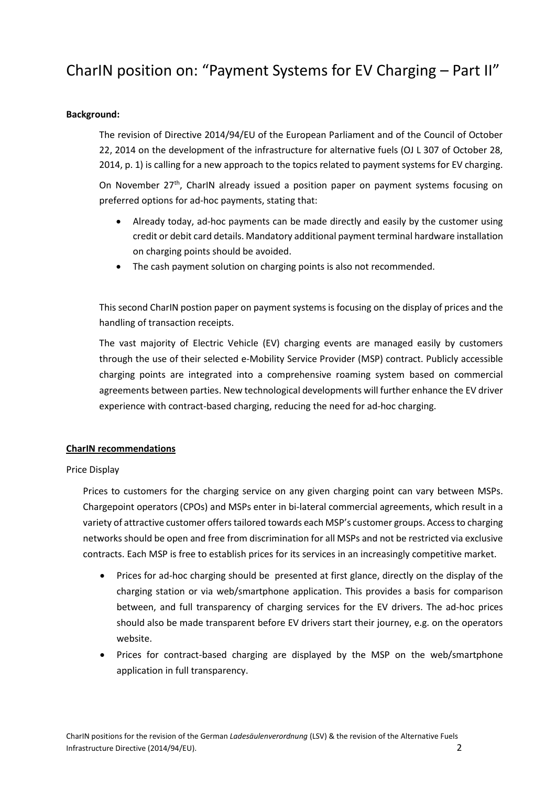## CharIN position on: "Payment Systems for EV Charging – Part II"

### **Background:**

The revision of Directive 2014/94/EU of the European Parliament and of the Council of October 22, 2014 on the development of the infrastructure for alternative fuels (OJ L 307 of October 28, 2014, p. 1) is calling for a new approach to the topics related to payment systems for EV charging.

On November 27<sup>th</sup>, CharIN already issued a position paper on payment systems focusing on preferred options for ad-hoc payments, stating that:

- Already today, ad-hoc payments can be made directly and easily by the customer using credit or debit card details. Mandatory additional payment terminal hardware installation on charging points should be avoided.
- The cash payment solution on charging points is also not recommended.

This second CharIN postion paper on payment systems is focusing on the display of prices and the handling of transaction receipts.

The vast majority of Electric Vehicle (EV) charging events are managed easily by customers through the use of their selected e-Mobility Service Provider (MSP) contract. Publicly accessible charging points are integrated into a comprehensive roaming system based on commercial agreements between parties. New technological developments will further enhance the EV driver experience with contract-based charging, reducing the need for ad-hoc charging.

### **CharIN recommendations**

### Price Display

Prices to customers for the charging service on any given charging point can vary between MSPs. Chargepoint operators (CPOs) and MSPs enter in bi-lateral commercial agreements, which result in a variety of attractive customer offers tailored towards each MSP's customer groups. Access to charging networks should be open and free from discrimination for all MSPs and not be restricted via exclusive contracts. Each MSP is free to establish prices for its services in an increasingly competitive market.

- Prices for ad-hoc charging should be presented at first glance, directly on the display of the charging station or via web/smartphone application. This provides a basis for comparison between, and full transparency of charging services for the EV drivers. The ad-hoc prices should also be made transparent before EV drivers start their journey, e.g. on the operators website.
- Prices for contract-based charging are displayed by the MSP on the web/smartphone application in full transparency.